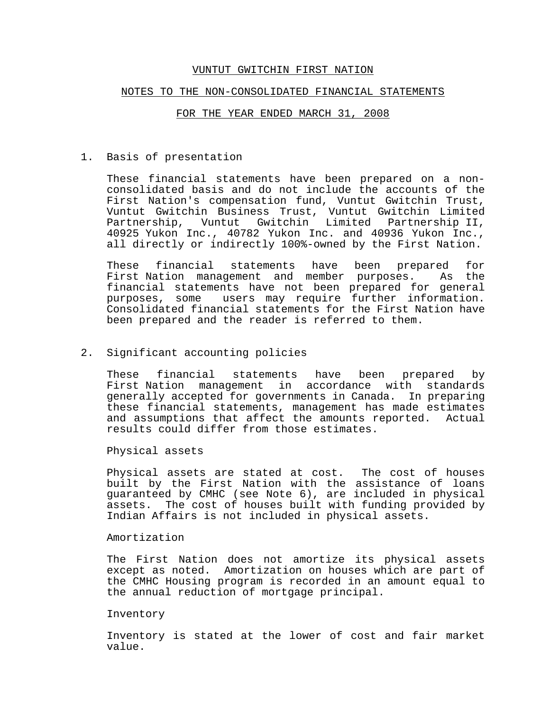#### NOTES TO THE NON-CONSOLIDATED FINANCIAL STATEMENTS

### FOR THE YEAR ENDED MARCH 31, 2008

#### 1. Basis of presentation

These financial statements have been prepared on a nonconsolidated basis and do not include the accounts of the First Nation's compensation fund, Vuntut Gwitchin Trust, Vuntut Gwitchin Business Trust, Vuntut Gwitchin Limited Partnership, Vuntut Gwitchin Limited Partnership II, Partnership, Vuntut Gwitchin Limited Partnership II,<br>40925 Yukon Inc., 40782 Yukon Inc. and 40936 Yukon Inc., all directly or indirectly 100%-owned by the First Nation.

These financial statements have been prepared for First Nation management and member purposes. As the financial statements have not been prepared for general purposes, some users may require further information. Consolidated financial statements for the First Nation have been prepared and the reader is referred to them.

#### 2. Significant accounting policies

These financial statements have been prepared by First Nation management in accordance with standards generally accepted for governments in Canada. In preparing these financial statements, management has made estimates and assumptions that affect the amounts reported. Actual results could differ from those estimates.

Physical assets

Physical assets are stated at cost. The cost of houses built by the First Nation with the assistance of loans guaranteed by CMHC (see Note 6), are included in physical assets. The cost of houses built with funding provided by Indian Affairs is not included in physical assets.

# Amortization

The First Nation does not amortize its physical assets except as noted. Amortization on houses which are part of the CMHC Housing program is recorded in an amount equal to the annual reduction of mortgage principal.

## Inventory

Inventory is stated at the lower of cost and fair market value.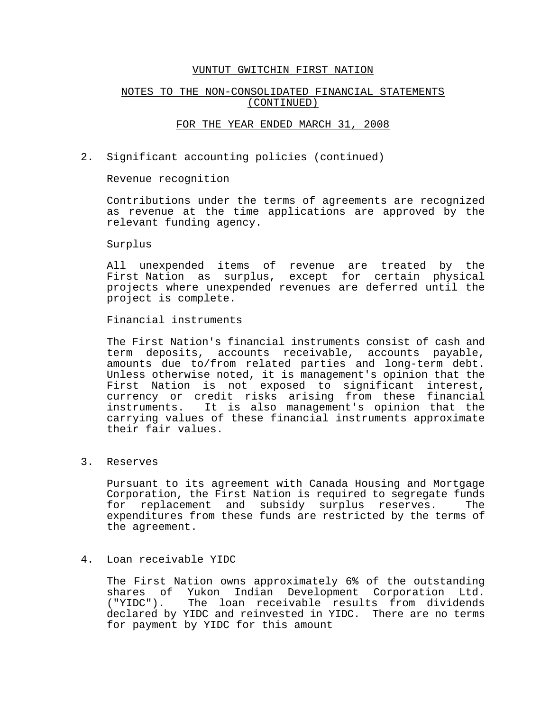## NOTES TO THE NON-CONSOLIDATED FINANCIAL STATEMENTS (CONTINUED)

### FOR THE YEAR ENDED MARCH 31, 2008

2. Significant accounting policies (continued)

Revenue recognition

Contributions under the terms of agreements are recognized as revenue at the time applications are approved by the relevant funding agency.

Surplus

All unexpended items of revenue are treated by the First Nation as surplus, except for certain physical projects where unexpended revenues are deferred until the project is complete.

Financial instruments

The First Nation's financial instruments consist of cash and term deposits, accounts receivable, accounts payable, amounts due to/from related parties and long-term debt. Unless otherwise noted, it is management's opinion that the First Nation is not exposed to significant interest, currency or credit risks arising from these financial instruments. It is also management's opinion that the carrying values of these financial instruments approximate their fair values.

3. Reserves

Pursuant to its agreement with Canada Housing and Mortgage Corporation, the First Nation is required to segregate funds for replacement and subsidy surplus reserves. The expenditures from these funds are restricted by the terms of the agreement.

## 4. Loan receivable YIDC

The First Nation owns approximately 6% of the outstanding shares of Yukon Indian Development Corporation Ltd. ("YIDC"). The loan receivable results from dividends declared by YIDC and reinvested in YIDC. There are no terms for payment by YIDC for this amount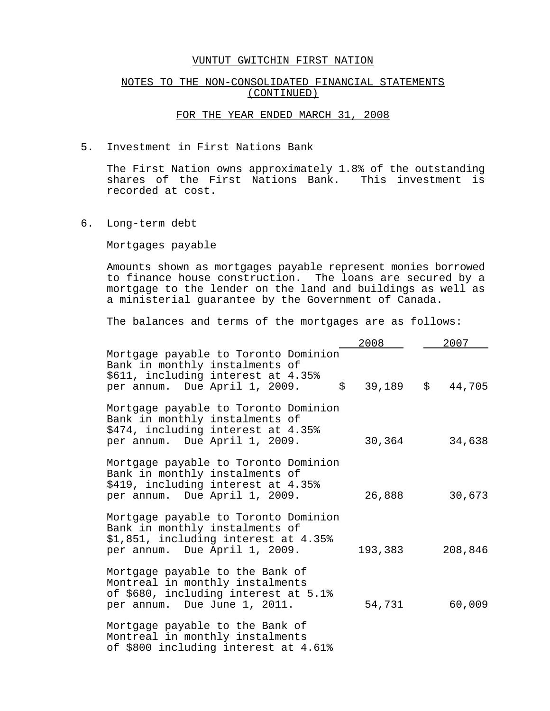## NOTES TO THE NON-CONSOLIDATED FINANCIAL STATEMENTS (CONTINUED)

# FOR THE YEAR ENDED MARCH 31, 2008

5. Investment in First Nations Bank

The First Nation owns approximately 1.8% of the outstanding shares of the First Nations Bank. This investment is recorded at cost.

6. Long-term debt

Mortgages payable

Amounts shown as mortgages payable represent monies borrowed to finance house construction. The loans are secured by a mortgage to the lender on the land and buildings as well as a ministerial guarantee by the Government of Canada.

The balances and terms of the mortgages are as follows:

|                                                                                                                                                             | 2008        | 2007    |
|-------------------------------------------------------------------------------------------------------------------------------------------------------------|-------------|---------|
| Mortgage payable to Toronto Dominion<br>Bank in monthly instalments of<br>\$611, including interest at 4.35%<br>$\ddot{s}$<br>per annum. Due April 1, 2009. | $39,189$ \$ | 44,705  |
| Mortgage payable to Toronto Dominion<br>Bank in monthly instalments of<br>\$474, including interest at 4.35%<br>per annum. Due April 1, 2009.               | 30,364      | 34,638  |
| Mortgage payable to Toronto Dominion<br>Bank in monthly instalments of<br>\$419, including interest at 4.35%<br>per annum. Due April 1, 2009.               | 26,888      | 30,673  |
| Mortgage payable to Toronto Dominion<br>Bank in monthly instalments of<br>\$1,851, including interest at 4.35%<br>per annum. Due April 1, 2009.             | 193,383     | 208,846 |
| Mortgage payable to the Bank of<br>Montreal in monthly instalments<br>of \$680, including interest at 5.1%<br>per annum. Due June 1, 2011.                  | 54,731      | 60,009  |
| Mortgage payable to the Bank of<br>Montreal in monthly instalments<br>of \$800 including interest at 4.61%                                                  |             |         |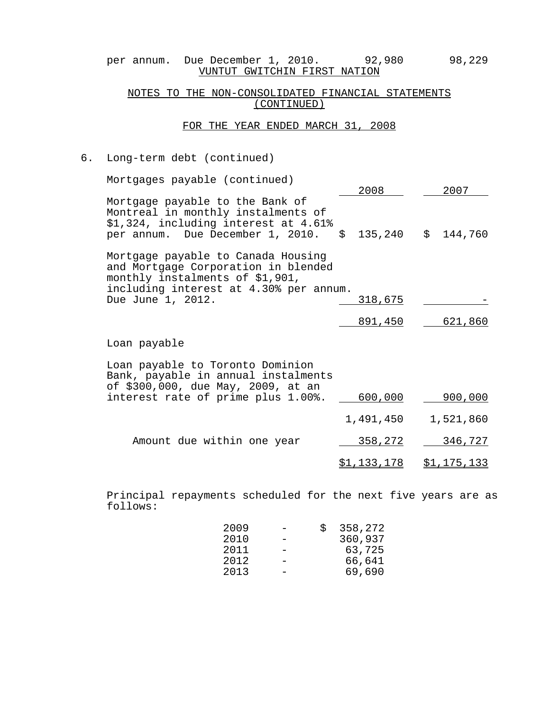per annum. Due December 1, 2010. 92,980 98,229 VUNTUT GWITCHIN FIRST NATION

# NOTES TO THE NON-CONSOLIDATED FINANCIAL STATEMENTS (CONTINUED)

# FOR THE YEAR ENDED MARCH 31, 2008

# 6. Long-term debt (continued)

| Mortgages payable (continued)                                                                                                                          | 2008               | 2007               |
|--------------------------------------------------------------------------------------------------------------------------------------------------------|--------------------|--------------------|
| Mortgage payable to the Bank of<br>Montreal in monthly instalments of<br>\$1,324, including interest at 4.61%<br>per annum. Due December 1, 2010.      | \$                 | 135,240 \$ 144,760 |
| Mortgage payable to Canada Housing<br>and Mortgage Corporation in blended<br>monthly instalments of \$1,901,<br>including interest at 4.30% per annum. |                    |                    |
| Due June 1, 2012.                                                                                                                                      | <u>318,675</u>     |                    |
|                                                                                                                                                        | <u>891,450</u>     | 621,860            |
| Loan payable                                                                                                                                           |                    |                    |
| Loan payable to Toronto Dominion<br>Bank, payable in annual instalments<br>of \$300,000, due May, 2009, at an                                          |                    |                    |
| interest rate of prime plus 1.00%.                                                                                                                     | <u>600,000</u>     | 900,000            |
|                                                                                                                                                        | 1,491,450          | 1,521,860          |
| Amount due within one year                                                                                                                             | 358,272            | 346,727            |
|                                                                                                                                                        | <u>\$1,133,178</u> | <u>\$1,175,133</u> |

Principal repayments scheduled for the next five years are as follows:

| 2009 | S | 358,272 |
|------|---|---------|
| 2010 |   | 360,937 |
| 2011 |   | 63,725  |
| 2012 |   | 66,641  |
| 2013 |   | 69,690  |